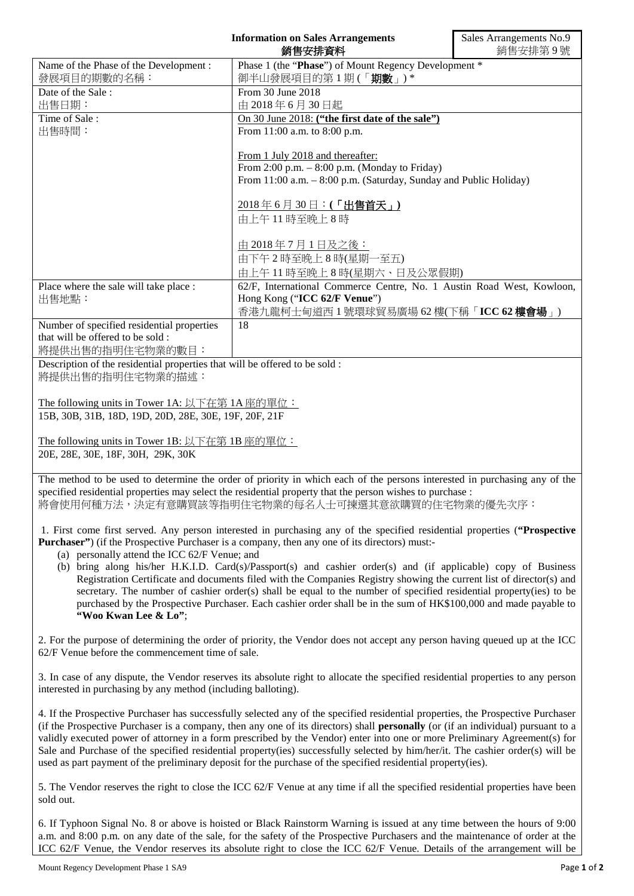| <b>Information on Sales Arrangements</b><br>銷售安排資料                                                                        |                                                                            | Sales Arrangements No.9<br>銷售安排第9號 |
|---------------------------------------------------------------------------------------------------------------------------|----------------------------------------------------------------------------|------------------------------------|
| Name of the Phase of the Development:<br>發展項目的期數的名稱:                                                                      | Phase 1 (the "Phase") of Mount Regency Development *<br>御半山發展項目的第1期(「期數」)* |                                    |
| Date of the Sale:                                                                                                         | From 30 June 2018                                                          |                                    |
|                                                                                                                           |                                                                            |                                    |
| 出售日期:                                                                                                                     | 由 2018年6月30日起                                                              |                                    |
| Time of Sale:                                                                                                             | On 30 June 2018: ("the first date of the sale")                            |                                    |
| 出售時間:                                                                                                                     | From 11:00 a.m. to 8:00 p.m.                                               |                                    |
|                                                                                                                           |                                                                            |                                    |
|                                                                                                                           | From 1 July 2018 and thereafter:                                           |                                    |
|                                                                                                                           | From 2:00 p.m. $-$ 8:00 p.m. (Monday to Friday)                            |                                    |
|                                                                                                                           | From 11:00 a.m. - 8:00 p.m. (Saturday, Sunday and Public Holiday)          |                                    |
|                                                                                                                           | $\frac{2018}{46}$ 6月 30日: (「出售首天」)                                         |                                    |
|                                                                                                                           | 由上午11時至晚上8時                                                                |                                    |
|                                                                                                                           |                                                                            |                                    |
|                                                                                                                           | 由 2018年7月1日及之後:                                                            |                                    |
|                                                                                                                           | 由下午2時至晚上8時(星期一至五)                                                          |                                    |
|                                                                                                                           | 由上午11時至晚上8時(星期六、日及公眾假期)                                                    |                                    |
| Place where the sale will take place :                                                                                    | 62/F, International Commerce Centre, No. 1 Austin Road West, Kowloon,      |                                    |
| 出售地點:                                                                                                                     | Hong Kong ("ICC 62/F Venue")                                               |                                    |
|                                                                                                                           | 香港九龍柯士甸道西1號環球貿易廣場 62樓(下稱「ICC 62樓會場」)                                       |                                    |
| Number of specified residential properties                                                                                | 18                                                                         |                                    |
| that will be offered to be sold :                                                                                         |                                                                            |                                    |
| 將提供出售的指明住宅物業的數目:                                                                                                          |                                                                            |                                    |
| Description of the residential properties that will be offered to be sold :                                               |                                                                            |                                    |
| 將提供出售的指明住宅物業的描述:                                                                                                          |                                                                            |                                    |
|                                                                                                                           |                                                                            |                                    |
|                                                                                                                           |                                                                            |                                    |
| The following units in Tower 1A: 以下在第 1A 座的單位:                                                                            |                                                                            |                                    |
| 15B, 30B, 31B, 18D, 19D, 20D, 28E, 30E, 19F, 20F, 21F                                                                     |                                                                            |                                    |
| The following units in Tower 1B: 以下在第 1B 座的單位:                                                                            |                                                                            |                                    |
| 20E, 28E, 30E, 18F, 30H, 29K, 30K                                                                                         |                                                                            |                                    |
|                                                                                                                           |                                                                            |                                    |
| The method to be used to determine the order of priority in which each of the persons interested in purchasing any of the |                                                                            |                                    |
| specified residential properties may select the residential property that the person wishes to purchase :                 |                                                                            |                                    |
| 將會使用何種方法,決定有意購買該等指明住宅物業的每名人士可揀選其意欲購買的住宅物業的優先次序:                                                                           |                                                                            |                                    |

1. First come first served. Any person interested in purchasing any of the specified residential properties (**"Prospective Purchaser"**) (if the Prospective Purchaser is a company, then any one of its directors) must:-

- (a) personally attend the ICC 62/F Venue; and
- (b) bring along his/her H.K.I.D. Card(s)/Passport(s) and cashier order(s) and (if applicable) copy of Business Registration Certificate and documents filed with the Companies Registry showing the current list of director(s) and secretary. The number of cashier order(s) shall be equal to the number of specified residential property(ies) to be purchased by the Prospective Purchaser. Each cashier order shall be in the sum of HK\$100,000 and made payable to **"Woo Kwan Lee & Lo"**;

2. For the purpose of determining the order of priority, the Vendor does not accept any person having queued up at the ICC 62/F Venue before the commencement time of sale.

3. In case of any dispute, the Vendor reserves its absolute right to allocate the specified residential properties to any person interested in purchasing by any method (including balloting).

4. If the Prospective Purchaser has successfully selected any of the specified residential properties, the Prospective Purchaser (if the Prospective Purchaser is a company, then any one of its directors) shall **personally** (or (if an individual) pursuant to a validly executed power of attorney in a form prescribed by the Vendor) enter into one or more Preliminary Agreement(s) for Sale and Purchase of the specified residential property(ies) successfully selected by him/her/it. The cashier order(s) will be used as part payment of the preliminary deposit for the purchase of the specified residential property(ies).

5. The Vendor reserves the right to close the ICC 62/F Venue at any time if all the specified residential properties have been sold out.

6. If Typhoon Signal No. 8 or above is hoisted or Black Rainstorm Warning is issued at any time between the hours of 9:00 a.m. and 8:00 p.m. on any date of the sale, for the safety of the Prospective Purchasers and the maintenance of order at the ICC 62/F Venue, the Vendor reserves its absolute right to close the ICC 62/F Venue. Details of the arrangement will be